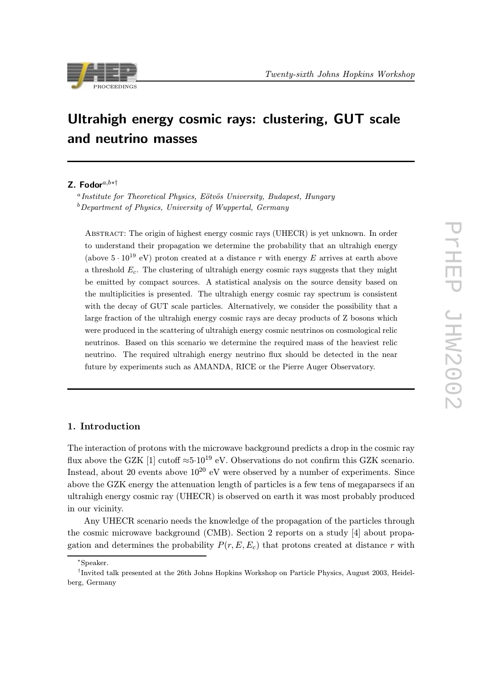

# Ultrahigh energy cosmic rays: clustering, GUT scale and neutrino masses

# Z. Fodor<sup>a,b∗†</sup>

 $a$ Institute for Theoretical Physics, Eötvös University, Budapest, Hungary  $b$  Department of Physics, University of Wuppertal, Germany

Abstract: The origin of highest energy cosmic rays (UHECR) is yet unknown. In order to understand their propagation we determine the probability that an ultrahigh energy (above  $5 \cdot 10^{19}$  eV) proton created at a distance r with energy E arrives at earth above a threshold  $E_c$ . The clustering of ultrahigh energy cosmic rays suggests that they might be emitted by compact sources. A statistical analysis on the source density based on the multiplicities is presented. The ultrahigh energy cosmic ray spectrum is consistent with the decay of GUT scale particles. Alternatively, we consider the possibility that a large fraction of the ultrahigh energy cosmic rays are decay products of Z bosons which were produced in the scattering of ultrahigh energy cosmic neutrinos on cosmological relic neutrinos. Based on this scenario we determine the required mass of the heaviest relic neutrino. The required ultrahigh energy neutrino flux should be detected in the near future by experiments such as AMANDA, RICE or the Pierre Auger Observatory.

# 1. Introduction

The interaction of protons with the microwave background predicts a drop in the cosmic ray flux above the GZK [1] cutoff  $\approx 5.10^{19}$  eV. Observations do not confirm this GZK scenario. Instead, about 20 events above  $10^{20}$  eV were observed by a number of experiments. Since above the GZK energy the attenuation length of particles is a few tens of megaparsecs if an ultrahigh energy cosmic ray (UHECR) is observed on earth it was most probably produced in our vicinity.

Any UHECR scenario needs the knowledge of the propagation of the particles through the cosmic microwave background (CMB). Section 2 reports on a study [4] about propagation and determines the probability  $P(r, E, E_c)$  that protons created at distance r with

<sup>∗</sup>Speaker.

<sup>†</sup>Invited talk presented at the 26th Johns Hopkins Workshop on Particle Physics, August 2003, Heidelberg, Germany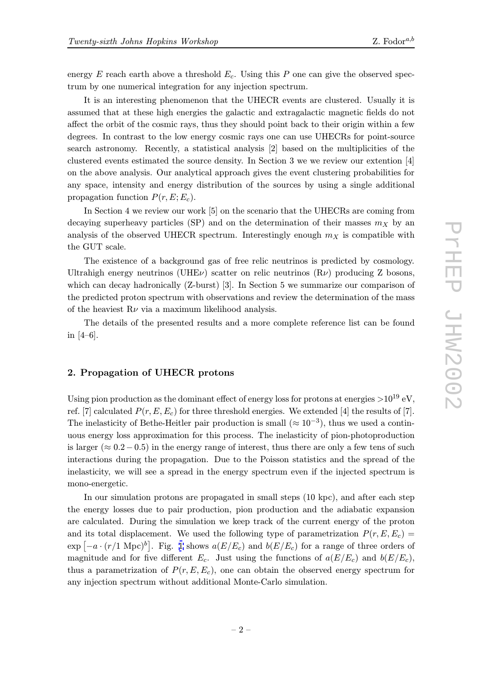energy  $E$  reach earth above a threshold  $E_c$ . Using this P one can give the observed spectrum by one numerical integration for any injection spectrum.

It is an interesting phenomenon that the UHECR events are clustered. Usually it is assumed that at these high energies the galactic and extragalactic magnetic fields do not affect the orbit of the cosmic rays, thus they should point back to their origin within a few degrees. In contrast to the low energy cosmic rays one can use UHECRs for point-source search astronomy. Recently, a statistical analysis [2] based on the multiplicities of the clustered events estimated the source density. In Section 3 we we review our extention [4] on the above analysis. Our analytical approach gives the event clustering probabilities for any space, intensity and energy distribution of the sources by using a single additional propagation function  $P(r, E; E_c)$ .

In Section 4 we review our work [5] on the scenario that the UHECRs are coming from decaying superheavy particles (SP) and on the determination of their masses  $m<sub>X</sub>$  by an analysis of the observed UHECR spectrum. Interestingly enough  $m<sub>X</sub>$  is compatible with the GUT scale.

The existence of a background gas of free relic neutrinos is predicted by cosmology. Ultrahigh energy neutrinos (UHE $\nu$ ) scatter on relic neutrinos (R $\nu$ ) producing Z bosons, which can decay hadronically (Z-burst) [3]. In Section 5 we summarize our comparison of the predicted proton spectrum with observations and review the determination of the mass of the heaviest  $R\nu$  via a maximum likelihood analysis.

The details of the presented results and a more complete reference list can be found in [4–6].

# 2. Propagation of UHECR protons

Using pion production as the dominant effect of energy loss for protons at energies  $>10^{19}$  eV, ref. [7] calculated  $P(r, E, E_c)$  for three threshold energies. We extended [4] the results of [7]. The inelasticity of Bethe-Heitler pair production is small ( $\approx 10^{-3}$ ), thus we used a continuous energy loss approximation for this process. The inelasticity of pion-photoproduction is larger ( $\approx 0.2-0.5$ ) in the energy range of interest, thus there are only a few tens of such interactions during the propagation. Due to the Poisson statistics and the spread of the inelasticity, we will see a spread in the energy spectrum even if the injected spectrum is mono-energetic.

In our simulation protons are propagated in small steps (10 kpc), and after each step the energy losses due to pair production, pion production and the adiabatic expansion are calculated. During the simulation we keep track of the current energy of the proton and its total displacement. We used the following type of parametrization  $P(r, E, E_c)$  $\exp\left[-a\cdot(r/1 \text{ Mpc})^b\right]$ . Fig. 1 shows  $a(E/E_c)$  and  $b(E/E_c)$  for a range of three orders of magnitude and for five different  $E_c$ . Just using the functions of  $a(E/E_c)$  and  $b(E/E_c)$ , thus a parametrization of  $P(r, E, E_c)$ , one can obtain the observed energy spectrum for any injection spectrum with[ou](#page-3-0)t additional Monte-Carlo simulation.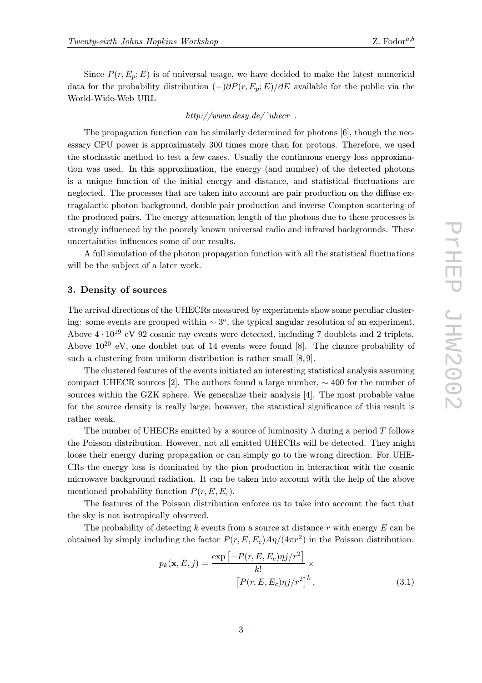Since  $P(r, E_p; E)$  is of universal usage, we have decided to make the latest numerical data for the probability distribution  $(-)\partial P(r, E_p; E)/\partial E$  available for the public via the World-Wide-Web URL

### http://www.desy.de/ $\tilde{\ }$ uhecr.

The propagation function can be similarly determined for photons [6], though the necessary CPU power is approximately 300 times more than for protons. Therefore, we used the stochastic method to test a few cases. Usually the continuous energy loss approximation was used. In this approximation, the energy (and number) of the detected photons is a unique function of the initial energy and distance, and statistical fluctuations are neglected. The processes that are taken into account are pair production on the diffuse extragalactic photon background, double pair production and inverse Compton scattering of the produced pairs. The energy attenuation length of the photons due to these processes is strongly influenced by the poorely known universal radio and infrared backgrounds. These uncertainties influences some of our results.

A full simulation of the photon propagation function with all the statistical fluctuations will be the subject of a later work.

### 3. Density of sources

The arrival directions of the UHECRs measured by experiments show some peculiar clustering: some events are grouped within  $\sim 3^{\circ}$ , the typical angular resolution of an experiment. Above  $4 \cdot 10^{19}$  eV 92 cosmic ray events were detected, including 7 doublets and 2 triplets. Above  $10^{20}$  eV, one doublet out of 14 events were found [8]. The chance probability of such a clustering from uniform distribution is rather small  $[8, 9]$ .

The clustered features of the events initiated an interesting statistical analysis assuming compact UHECR sources [2]. The authors found a large number,  $\sim$  400 for the number of sources within the GZK sphere. We generalize their analysis [4]. The most probable value for the source density is really large; however, the statistical significance of this result is rather weak.

The number of UHECRs emitted by a source of luminosity  $\lambda$  during a period T follows the Poisson distribution. However, not all emitted UHECRs will be detected. They might loose their energy during propagation or can simply go to the wrong direction. For UHE-CRs the energy loss is dominated by the pion production in interaction with the cosmic microwave background radiation. It can be taken into account with the help of the above mentioned probability function  $P(r, E, E_c)$ .

The features of the Poisson distribution enforce us to take into account the fact that the sky is not isotropically observed.

The probability of detecting k events from a source at distance r with energy  $E$  can be obtained by simply including the factor  $P(r, E, E_c) \frac{A\eta}{4\pi r^2}$  in the Poisson distribution:

$$
p_k(\mathbf{x}, E, j) = \frac{\exp\left[-P(r, E, E_c)\eta j/r^2\right]}{k!} \times \left[P(r, E, E_c)\eta j/r^2\right]^k, \tag{3.1}
$$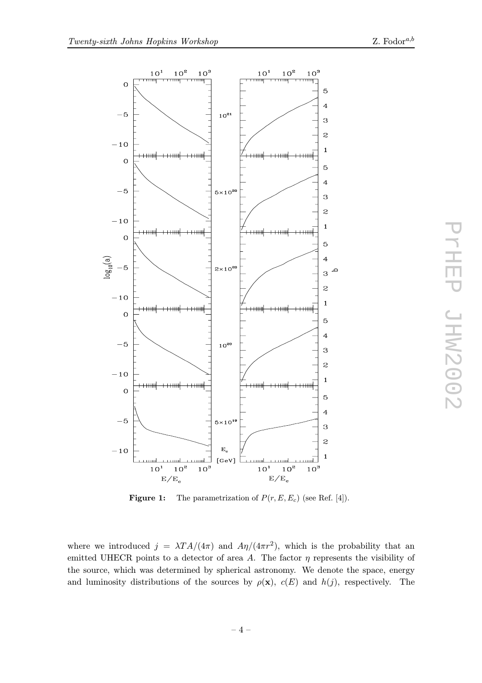<span id="page-3-0"></span>

**Figure 1:** The parametrization of  $P(r, E, E_c)$  (see Ref. [4]).

where we introduced  $j = \lambda T A/(4\pi)$  and  $A\eta/(4\pi r^2)$ , which is the probability that an emitted UHECR points to a detector of area A. The factor  $\eta$  represents the visibility of the source, which was determined by spherical astronomy. We denote the space, energy and luminosity distributions of the sources by  $\rho(\mathbf{x})$ ,  $c(E)$  and  $h(j)$ , respectively. The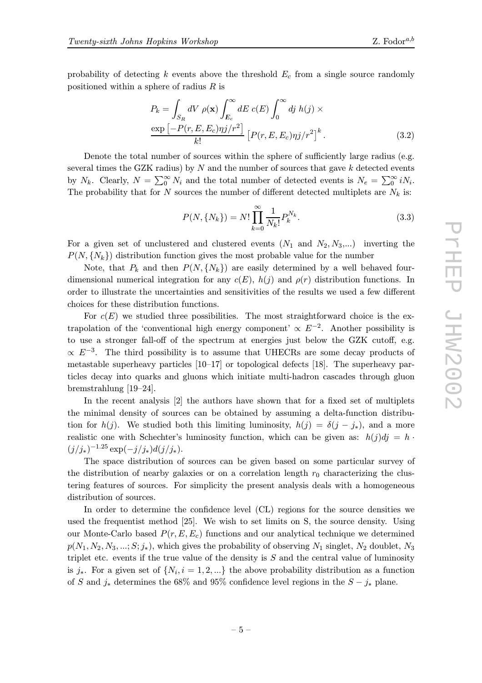probability of detecting  $k$  events above the threshold  $E_c$  from a single source randomly positioned within a sphere of radius  $R$  is

$$
P_k = \int_{S_R} dV \, \rho(\mathbf{x}) \int_{E_c}^{\infty} dE \, c(E) \int_0^{\infty} dj \, h(j) \times \frac{\exp\left[-P(r, E, E_c)\eta j/r^2\right]}{k!} \left[P(r, E, E_c)\eta j/r^2\right]^k.
$$
 (3.2)

Denote the total number of sources within the sphere of sufficiently large radius (e.g. several times the GZK radius) by  $N$  and the number of sources that gave  $k$  detected events by  $N_k$ . Clearly,  $N = \sum_{i=0}^{\infty} N_i$  and the total number of detected events is  $N_e = \sum_{i=0}^{\infty} i N_i$ . The probability that for N sources the number of different detected multiplets are  $N_k$  is:

$$
P(N, \{N_k\}) = N! \prod_{k=0}^{\infty} \frac{1}{N_k!} P_k^{N_k}.
$$
\n(3.3)

For a given set of unclustered and clustered events  $(N_1 \text{ and } N_2, N_3,...)$  inverting the  $P(N, \{N_k\})$  distribution function gives the most probable value for the number

Note, that  $P_k$  and then  $P(N, \{N_k\})$  are easily determined by a well behaved fourdimensional numerical integration for any  $c(E)$ ,  $h(j)$  and  $\rho(r)$  distribution functions. In order to illustrate the uncertainties and sensitivities of the results we used a few different choices for these distribution functions.

For  $c(E)$  we studied three possibilities. The most straightforward choice is the extrapolation of the 'conventional high energy component'  $\propto E^{-2}$ . Another possibility is to use a stronger fall-off of the spectrum at energies just below the GZK cutoff, e.g.  $\propto E^{-3}$ . The third possibility is to assume that UHECRs are some decay products of metastable superheavy particles  $[10-17]$  or topological defects  $[18]$ . The superheavy particles decay into quarks and gluons which initiate multi-hadron cascades through gluon bremstrahlung [19–24].

In the recent analysis [2] the authors have shown that for a fixed set of multiplets the minimal density of sources can be obtained by assuming a delta-function distribution for  $h(j)$ . We studied both this limiting luminosity,  $h(j) = \delta(j - j_*)$ , and a more realistic one with Schechter's luminosity function, which can be given as:  $h(j)dj = h$ .  $(j/j_*)^{-1.25}$  exp $(-j/j_*)d(j/j_*)$ .

The space distribution of sources can be given based on some particular survey of the distribution of nearby galaxies or on a correlation length  $r_0$  characterizing the clustering features of sources. For simplicity the present analysis deals with a homogeneous distribution of sources.

In order to determine the confidence level (CL) regions for the source densities we used the frequentist method [25]. We wish to set limits on S, the source density. Using our Monte-Carlo based  $P(r, E, E_c)$  functions and our analytical technique we determined  $p(N_1, N_2, N_3, \ldots; S; j_*),$  which gives the probability of observing  $N_1$  singlet,  $N_2$  doublet,  $N_3$ triplet etc. events if the true value of the density is  $S$  and the central value of luminosity is j<sup>\*</sup>. For a given set of  $\{N_i, i = 1, 2, ...\}$  the above probability distribution as a function of S and  $j_*$  determines the 68% and 95% confidence level regions in the  $S - j_*$  plane.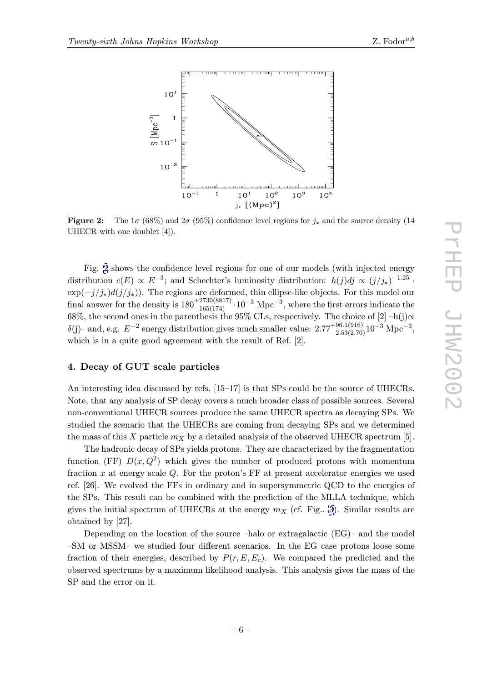

**Figure 2:** The  $1\sigma$  (68%) and  $2\sigma$  (95%) confidence level regions for  $j_*$  and the source density (14 UHECR with one doublet [4]).

Fig. 2 shows the confidence level regions for one of our models (with injected energy distribution  $c(E) \propto E^{-3}$ ; and Schechter's luminosity distribution:  $h(j)dj \propto (j/j_*)^{-1.25}$ .  $\exp(-j/j_*)d(j/j_*))$ . The regions are deformed, thin ellipse-like objects. For this model our final answer for the density is  $180^{+2730(8817)}_{-165(174)} \cdot 10^{-3}$  Mpc<sup>-3</sup>, where the first errors indicate the 68%, the second ones in the parenthesis the 95% CLs, respectively. The choice of [2] –h(j)∝  $\delta(j)$ – and, e.g.  $E^{-2}$  energy distribution gives much smaller value:  $2.77^{+96.1(916)}_{-2.53(2.70)}10^{-3}$  Mpc<sup>-3</sup>, which is in a quite good agreement with the result of Ref. [2].

#### 4. Decay of GUT scale particles

An interesting idea discussed by refs. [15–17] is that SPs could be the source of UHECRs. Note, that any analysis of SP decay covers a much broader class of possible sources. Several non-conventional UHECR sources produce the same UHECR spectra as decaying SPs. We studied the scenario that the UHECRs are coming from decaying SPs and we determined the mass of this X particle  $m_X$  by a detailed analysis of the observed UHECR spectrum [5].

The hadronic decay of SPs yields protons. They are characterized by the fragmentation function (FF)  $D(x, Q^2)$  which gives the number of produced protons with momentum fraction  $x$  at energy scale  $Q$ . For the proton's FF at present accelerator energies we used ref. [26]. We evolved the FFs in ordinary and in supersymmetric QCD to the energies of the SPs. This result can be combined with the prediction of the MLLA technique, which gives the initial spectrum of UHECRs at the energy  $m<sub>X</sub>$  (cf. Fig. 3). Similar results are obtained by [27].

Depending on the location of the source –halo or extragalactic (EG)– and the model –SM or MSSM– we studied four different scenarios. In the EG c[ase](#page-6-0) protons loose some fraction of their energies, described by  $P(r, E, E_c)$ . We compared the predicted and the observed spectrums by a maximum likelihood analysis. This analysis gives the mass of the SP and the error on it.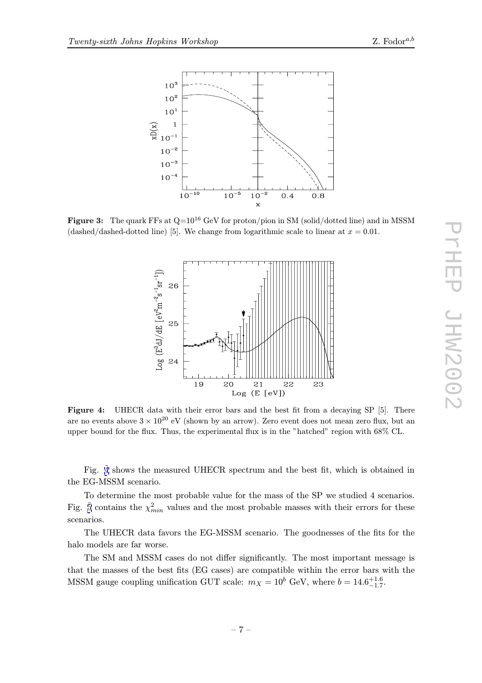<span id="page-6-0"></span>

Figure 3: The quark FFs at  $Q=10^{16}$  GeV for proton/pion in SM (solid/dotted line) and in MSSM (dashed/dashed-dotted line) [5]. We change from logarithmic scale to linear at  $x = 0.01$ .



Figure 4: UHECR data with their error bars and the best fit from a decaying SP [5]. There are no events above  $3 \times 10^{20}$  eV (shown by an arrow). Zero event does not mean zero flux, but an upper bound for the flux. Thus, the experimental flux is in the "hatched" region with 68% CL.

Fig. 4 shows the measured UHECR spectrum and the best fit, which is obtained in the EG-MSSM scenario.

To determine the most probable value for the mass of the SP we studied 4 scenarios. Fig. 5 contains the  $\chi^2_{min}$  values and the most probable masses with their errors for these scenarios.

The UHECR data favors the EG-MSSM scenario. The goodnesses of the fits for the halo [m](#page-7-0)odels are far worse.

The SM and MSSM cases do not differ significantly. The most important message is that the masses of the best fits (EG cases) are compatible within the error bars with the MSSM gauge coupling unification GUT scale:  $m_X = 10^b$  GeV, where  $b = 14.6^{+1.6}_{-1.7}$ .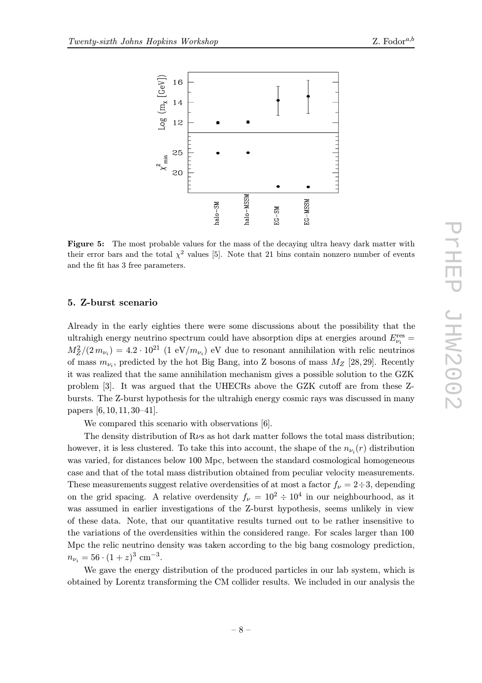

<span id="page-7-0"></span>

Figure 5: The most probable values for the mass of the decaying ultra heavy dark matter with their error bars and the total  $\chi^2$  values [5]. Note that 21 bins contain nonzero number of events and the fit has 3 free parameters.

#### 5. Z-burst scenario

Already in the early eighties there were some discussions about the possibility that the ultrahigh energy neutrino spectrum could have absorption dips at energies around  $E_{\nu_i}^{\rm res} =$  $M_Z^2/(2 m_{\nu_i}) = 4.2 \cdot 10^{21}$  (1 eV/m<sub> $\nu_i$ </sub>) eV due to resonant annihilation with relic neutrinos of mass  $m_{\nu_i}$ , predicted by the hot Big Bang, into Z bosons of mass  $M_Z$  [28, 29]. Recently it was realized that the same annihilation mechanism gives a possible solution to the GZK problem [3]. It was argued that the UHECRs above the GZK cutoff are from these Zbursts. The Z-burst hypothesis for the ultrahigh energy cosmic rays was discussed in many papers [6, 10, 11, 30–41].

We compared this scenario with observations [6].

The density distribution of  $R\nu s$  as hot dark matter follows the total mass distribution; however, it is less clustered. To take this into account, the shape of the  $n_{\nu_i}(r)$  distribution was varied, for distances below 100 Mpc, between the standard cosmological homogeneous case and that of the total mass distribution obtained from peculiar velocity measurements. These measurements suggest relative overdensities of at most a factor  $f_{\nu} = 2 \div 3$ , depending on the grid spacing. A relative overdensity  $f_{\nu} = 10^2 \div 10^4$  in our neighbourhood, as it was assumed in earlier investigations of the Z-burst hypothesis, seems unlikely in view of these data. Note, that our quantitative results turned out to be rather insensitive to the variations of the overdensities within the considered range. For scales larger than 100 Mpc the relic neutrino density was taken according to the big bang cosmology prediction,  $n_{\nu_i} = 56 \cdot (1+z)^3$  cm<sup>-3</sup>.

We gave the energy distribution of the produced particles in our lab system, which is obtained by Lorentz transforming the CM collider results. We included in our analysis the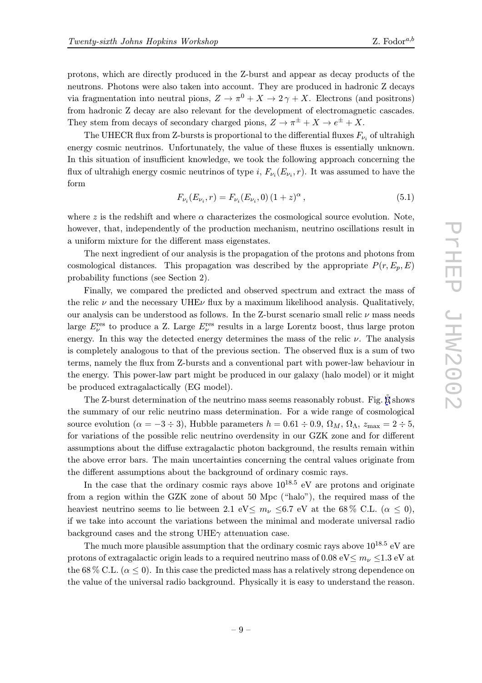protons, which are directly produced in the Z-burst and appear as decay products of the neutrons. Photons were also taken into account. They are produced in hadronic Z decays via fragmentation into neutral pions,  $Z \to \pi^0 + X \to 2\gamma + X$ . Electrons (and positrons) from hadronic Z decay are also relevant for the development of electromagnetic cascades. They stem from decays of secondary charged pions,  $Z \to \pi^{\pm} + X \to e^{\pm} + X$ .

The UHECR flux from Z-bursts is proportional to the differential fluxes  $F_{\nu_i}$  of ultrahigh energy cosmic neutrinos. Unfortunately, the value of these fluxes is essentially unknown. In this situation of insufficient knowledge, we took the following approach concerning the flux of ultrahigh energy cosmic neutrinos of type i,  $F_{\nu_i}(E_{\nu_i}, r)$ . It was assumed to have the form

$$
F_{\nu_i}(E_{\nu_i}, r) = F_{\nu_i}(E_{\nu_i}, 0) (1+z)^{\alpha}, \qquad (5.1)
$$

where z is the redshift and where  $\alpha$  characterizes the cosmological source evolution. Note, however, that, independently of the production mechanism, neutrino oscillations result in a uniform mixture for the different mass eigenstates.

The next ingredient of our analysis is the propagation of the protons and photons from cosmological distances. This propagation was described by the appropriate  $P(r, E_p, E)$ probability functions (see Section 2).

Finally, we compared the predicted and observed spectrum and extract the mass of the relic  $\nu$  and the necessary UHE $\nu$  flux by a maximum likelihood analysis. Qualitatively, our analysis can be understood as follows. In the Z-burst scenario small relic  $\nu$  mass needs large  $E_{\nu}^{\text{res}}$  to produce a Z. Large  $E_{\nu}^{\text{res}}$  results in a large Lorentz boost, thus large proton energy. In this way the detected energy determines the mass of the relic  $\nu$ . The analysis is completely analogous to that of the previous section. The observed flux is a sum of two terms, namely the flux from Z-bursts and a conventional part with power-law behaviour in the energy. This power-law part might be produced in our galaxy (halo model) or it might be produced extragalactically (EG model).

The Z-burst determination of the neutrino mass seems reasonably robust. Fig. 6 shows the summary of our relic neutrino mass determination. For a wide range of cosmological source evolution ( $\alpha = -3 \div 3$ ), Hubble parameters  $h = 0.61 \div 0.9$ ,  $\Omega_M$ ,  $\Omega_{\Lambda}$ ,  $z_{\text{max}} = 2 \div 5$ , for variations of the possible relic neutrino overdensity in our GZK zone and for [di](#page-9-0)fferent assumptions about the diffuse extragalactic photon background, the results remain within the above error bars. The main uncertainties concerning the central values originate from the different assumptions about the background of ordinary cosmic rays.

In the case that the ordinary cosmic rays above  $10^{18.5}$  eV are protons and originate from a region within the GZK zone of about 50 Mpc ("halo"), the required mass of the heaviest neutrino seems to lie between 2.1 eV $\leq m_{\nu} \leq 6.7$  eV at the 68 % C.L. ( $\alpha \leq 0$ ), if we take into account the variations between the minimal and moderate universal radio background cases and the strong UHE $\gamma$  attenuation case.

The much more plausible assumption that the ordinary cosmic rays above  $10^{18.5}$  eV are protons of extragalactic origin leads to a required neutrino mass of 0.08 eV $\leq m_{\nu} \leq 1.3$  eV at the 68 % C.L. ( $\alpha \leq 0$ ). In this case the predicted mass has a relatively strong dependence on the value of the universal radio background. Physically it is easy to understand the reason.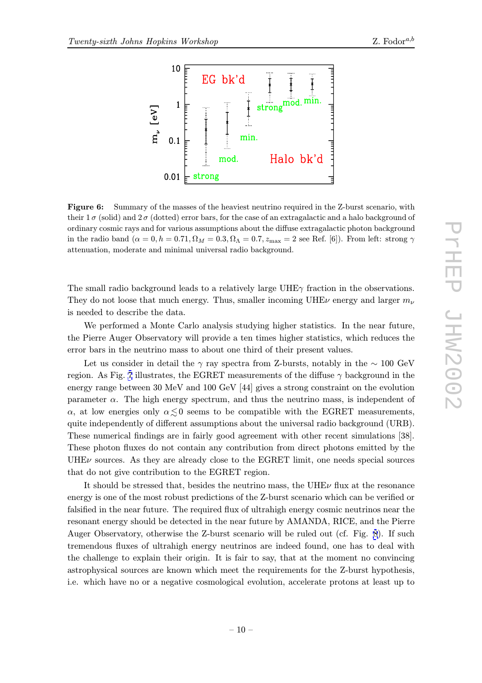<span id="page-9-0"></span>

Figure 6: Summary of the masses of the heaviest neutrino required in the Z-burst scenario, with their  $1\sigma$  (solid) and  $2\sigma$  (dotted) error bars, for the case of an extragalactic and a halo background of ordinary cosmic rays and for various assumptions about the diffuse extragalactic photon background in the radio band  $(\alpha = 0, h = 0.71, \Omega_M = 0.3, \Omega_{\Lambda} = 0.7, z_{\text{max}} = 2$  see Ref. [6]). From left: strong  $\gamma$ attenuation, moderate and minimal universal radio background.

The small radio background leads to a relatively large UHE $\gamma$  fraction in the observations. They do not loose that much energy. Thus, smaller incoming UHE<sub>V</sub> energy and larger  $m_{\nu}$ is needed to describe the data.

We performed a Monte Carlo analysis studying higher statistics. In the near future, the Pierre Auger Observatory will provide a ten times higher statistics, which reduces the error bars in the neutrino mass to about one third of their present values.

Let us consider in detail the γ ray spectra from Z-bursts, notably in the  $\sim 100 \text{ GeV}$ region. As Fig. 7 illustrates, the EGRET measurements of the diffuse  $\gamma$  background in the energy range between 30 MeV and 100 GeV [44] gives a strong constraint on the evolution parameter  $\alpha$ . The high energy spectrum, and thus the neutrino mass, is independent of  $α$ , at low ener[gie](#page-10-0)s only  $α ≤ 0$  seems to be compatible with the EGRET measurements, quite independently of different assumptions about the universal radio background (URB). These numerical findings are in fairly good agreement with other recent simulations [38]. These photon fluxes do not contain any contribution from direct photons emitted by the UHE $\nu$  sources. As they are already close to the EGRET limit, one needs special sources that do not give contribution to the EGRET region.

It should be stressed that, besides the neutrino mass, the UHE $\nu$  flux at the resonance energy is one of the most robust predictions of the Z-burst scenario which can be verified or falsified in the near future. The required flux of ultrahigh energy cosmic neutrinos near the resonant energy should be detected in the near future by AMANDA, RICE, and the Pierre Auger Observatory, otherwise the Z-burst scenario will be ruled out (cf. Fig. 8). If such tremendous fluxes of ultrahigh energy neutrinos are indeed found, one has to deal with the challenge to explain their origin. It is fair to say, that at the moment no convincing astrophysical sources are known which meet the requirements for the Z-burst [hy](#page-11-0)pothesis, i.e. which have no or a negative cosmological evolution, accelerate protons at least up to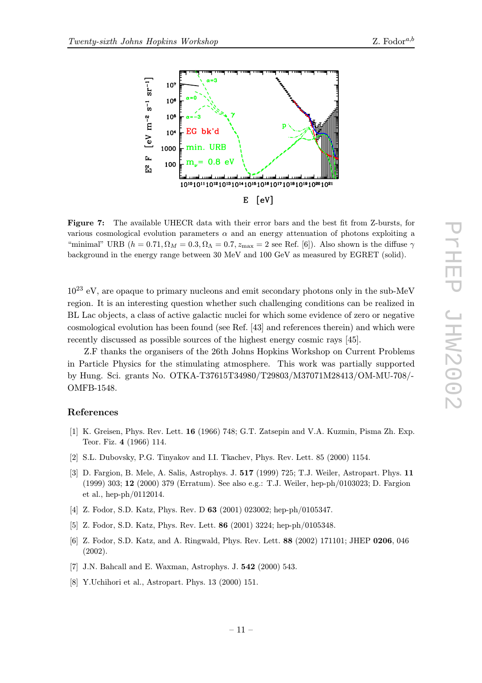

<span id="page-10-0"></span>

Figure 7: The available UHECR data with their error bars and the best fit from Z-bursts, for various cosmological evolution parameters  $\alpha$  and an energy attenuation of photons exploiting a "minimal" URB ( $h = 0.71, \Omega_M = 0.3, \Omega_{\Lambda} = 0.7, z_{\text{max}} = 2$  see Ref. [6]). Also shown is the diffuse  $\gamma$ background in the energy range between 30 MeV and 100 GeV as measured by EGRET (solid).

 $10^{23}$  eV, are opaque to primary nucleons and emit secondary photons only in the sub-MeV region. It is an interesting question whether such challenging conditions can be realized in BL Lac objects, a class of active galactic nuclei for which some evidence of zero or negative cosmological evolution has been found (see Ref. [43] and references therein) and which were recently discussed as possible sources of the highest energy cosmic rays [45].

Z.F thanks the organisers of the 26th Johns Hopkins Workshop on Current Problems in Particle Physics for the stimulating atmosphere. This work was partially supported by Hung. Sci. grants No. OTKA-T37615T34980/T29803/M37071M28413/OM-MU-708/- OMFB-1548.

#### References

- [1] K. Greisen, Phys. Rev. Lett. 16 (1966) 748; G.T. Zatsepin and V.A. Kuzmin, Pisma Zh. Exp. Teor. Fiz. 4 (1966) 114.
- [2] S.L. Dubovsky, P.G. Tinyakov and I.I. Tkachev, Phys. Rev. Lett. 85 (2000) 1154.
- [3] D. Fargion, B. Mele, A. Salis, Astrophys. J. 517 (1999) 725; T.J. Weiler, Astropart. Phys. 11 (1999) 303; 12 (2000) 379 (Erratum). See also e.g.: T.J. Weiler, hep-ph/0103023; D. Fargion et al., hep-ph/0112014.
- [4] Z. Fodor, S.D. Katz, Phys. Rev. D 63 (2001) 023002; hep-ph/0105347.
- [5] Z. Fodor, S.D. Katz, Phys. Rev. Lett. 86 (2001) 3224; hep-ph/0105348.
- [6] Z. Fodor, S.D. Katz, and A. Ringwald, Phys. Rev. Lett. 88 (2002) 171101; JHEP 0206, 046 (2002).
- [7] J.N. Bahcall and E. Waxman, Astrophys. J. 542 (2000) 543.
- [8] Y.Uchihori et al., Astropart. Phys. 13 (2000) 151.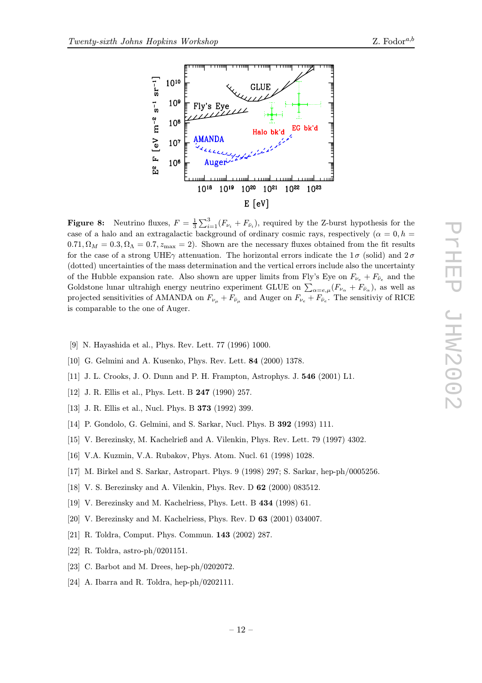

<span id="page-11-0"></span>

**Figure 8:** Neutrino fluxes,  $F = \frac{1}{3} \sum_{i=1}^{3} (F_{\nu_i} + F_{\bar{\nu}_i})$ , required by the Z-burst hypothesis for the case of a halo and an extracalactic hadronund of ordinary commissions requestively  $(e_i - 0, b$ case of a halo and an extragalactic background of ordinary cosmic rays, respectively ( $\alpha = 0, h =$  $0.71, \Omega_M = 0.3, \Omega_{\Lambda} = 0.7, z_{\text{max}} = 2$ . Shown are the necessary fluxes obtained from the fit results for the case of a strong UHE $\gamma$  attenuation. The horizontal errors indicate the 1 $\sigma$  (solid) and 2 $\sigma$ (dotted) uncertainties of the mass determination and the vertical errors include also the uncertainty of the Hubble expansion rate. Also shown are upper limits from Fly's Eye on  $F_{\nu_e} + F_{\bar{\nu}_e}$  and the Goldstone lunar ultrahigh energy neutrino experiment GLUE on  $\sum_{\alpha=e,\mu}(F_{\nu_{\alpha}}+F_{\bar{\nu}_{\alpha}})$ , as well as projected sensitivities of AMANDA on  $F_{\nu_{\mu}} + F_{\bar{\nu}_{\mu}}$  and Auger on  $F_{\nu_{e}} + F_{\bar{\nu}_{e}}$ . The sensitivity of RICE is comparable to the one of Auger.

- [9] N. Hayashida et al., Phys. Rev. Lett. 77 (1996) 1000.
- [10] G. Gelmini and A. Kusenko, Phys. Rev. Lett. 84 (2000) 1378.
- [11] J. L. Crooks, J. O. Dunn and P. H. Frampton, Astrophys. J. 546 (2001) L1.
- [12] J. R. Ellis et al., Phys. Lett. B 247 (1990) 257.
- [13] J. R. Ellis et al., Nucl. Phys. B 373 (1992) 399.
- [14] P. Gondolo, G. Gelmini, and S. Sarkar, Nucl. Phys. B 392 (1993) 111.
- [15] V. Berezinsky, M. Kachelrieß and A. Vilenkin, Phys. Rev. Lett. 79 (1997) 4302.
- [16] V.A. Kuzmin, V.A. Rubakov, Phys. Atom. Nucl. 61 (1998) 1028.
- [17] M. Birkel and S. Sarkar, Astropart. Phys. 9 (1998) 297; S. Sarkar, hep-ph/0005256.
- [18] V. S. Berezinsky and A. Vilenkin, Phys. Rev. D 62 (2000) 083512.
- [19] V. Berezinsky and M. Kachelriess, Phys. Lett. B 434 (1998) 61.
- [20] V. Berezinsky and M. Kachelriess, Phys. Rev. D 63 (2001) 034007.
- [21] R. Toldra, Comput. Phys. Commun. 143 (2002) 287.
- [22] R. Toldra, astro-ph/0201151.
- [23] C. Barbot and M. Drees, hep-ph/0202072.
- [24] A. Ibarra and R. Toldra, hep-ph/0202111.